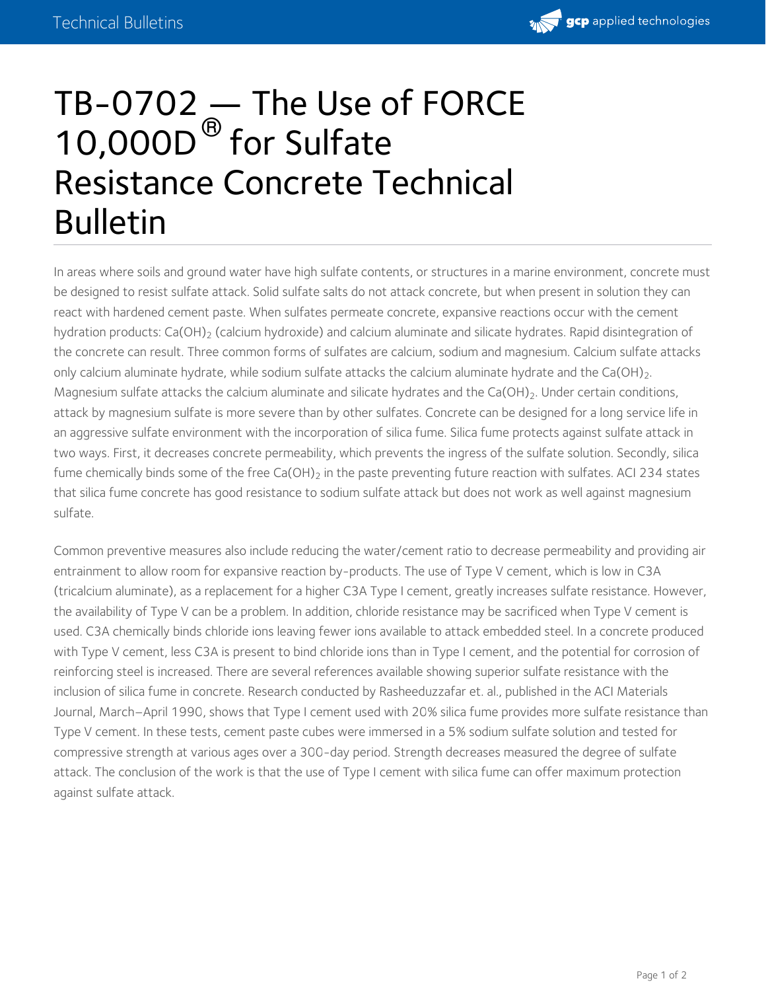

## $TB-0702$  — The Use of FORCE 10,000D<sup>®</sup> for Sulfate Resistance Concrete Technical Bulletin

In areas where soils and ground water have high sulfate contents, or structures in a marine environment, concrete must be designed to resist sulfate attack. Solid sulfate salts do not attack concrete, but when present in solution they can react with hardened cement paste. When sulfates permeate concrete, expansive reactions occur with the cement hydration products: Ca(OH) $_2$  (calcium hydroxide) and calcium aluminate and silicate hydrates. Rapid disintegration of the concrete can result. Three common forms of sulfates are calcium, sodium and magnesium. Calcium sulfate attacks only calcium aluminate hydrate, while sodium sulfate attacks the calcium aluminate hydrate and the Ca(OH)<sub>2</sub>.<br>Magnesium sulfate attacks the calcium aluminate and silicate hydrates and the Ca(OH)<sub>2</sub>. Under certain condition attack by magnesium sulfate is more severe than by other sulfates. Concrete can be designed for a long service life in an aggressive sulfate environment with the incorporation of silica fume. Silica fume protects against sulfate attack in two ways. First, it decreases concrete permeability, which prevents the ingress of the sulfate solution. Secondly, silica fume chemically binds some of the free Ca(OH) $_2$  in the paste preventing future reaction with sulfates. ACI 234 states that silica fume concrete has good resistance to sodium sulfate attack but does not work as well against magnesium sulfate. only calcium aluminate hydrate, while sodium sulfate attacks the calcium aluminate hydrate and the Ca(OH) $_2$ .

Common preventive measures also include reducing the water/cement ratio to decrease permeability and providing air entrainment to allow room for expansive reaction by-products. The use of Type V cement, which is low in C3A (tricalcium aluminate), as a replacement for a higher C3A Type I cement, greatly increases sulfate resistance. However, the availability of Type V can be a problem. In addition, chloride resistance may be sacrificed when Type V cement is used. C3A chemically binds chloride ions leaving fewer ions available to attack embedded steel. In a concrete produced with Type V cement, less C3A is present to bind chloride ions than in Type I cement, and the potential for corrosion of reinforcing steel is increased. There are several references available showing superior sulfate resistance with the inclusion of silica fume in concrete. Research conducted by Rasheeduzzafar et. al., published in the ACI Materials Journal, March–April 1990, shows that Type I cement used with 20% silica fume provides more sulfate resistance than Type V cement. In these tests, cement paste cubes were immersed in a 5% sodium sulfate solution and tested for compressive strength at various ages over a 300-day period. Strength decreases measured the degree of sulfate attack. The conclusion of the work is that the use of Type I cement with silica fume can offer maximum protection against sulfate attack.